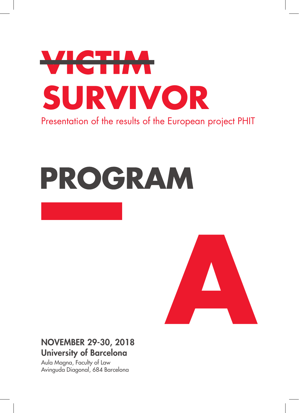

# PROGRAM



# NOVEMBER 29-30, 2018 University of Barcelona

Aula Magna, Faculty of Law Avinguda Diagonal, 684 Barcelona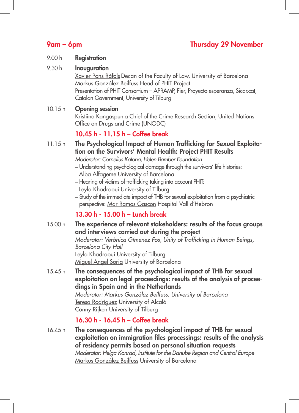## 9am – 6pm Thursday 29 November

#### 9.00 h **Registration**

9.30 h **Inauguration** 

Xavier Pons Ràfols Decan of the Faculty of Law, University of Barcelona Markus González Beilfuss Head of PHIT Project Presentation of PHIT Consortium – APRAMP, Fier, Proyecto esperanza, Sicar.cat, Catalan Government, University of Tilburg

#### 10.15 h Opening session

Kristiina Kangaspunta Chief of the Crime Research Section, United Nations Office on Drugs and Crime (UNODC)

#### 10.45 h - 11.15 h – Coffee break

- 11.15 h The Psychological Impact of Human Trafficking for Sexual Exploitation on the Survivors' Mental Health: Project PHIT Results *Moderator: Cornelius Katona, Helen Bamber Foundation*
	- Understanding psychological damage through the survivors' life histories: Alba Alfageme University of Barcelona
	- Hearing of victims of trafficking taking into account PHIT: Leyla Khadraoui University of Tilburg
	- Study of the immediate impact of THB for sexual exploitation from a psychiatric perspective: Mar Ramos Gascon Hospital Vall d'Hebron

### 13.30 h - 15.00 h – Lunch break

15.00 h The experience of relevant stakeholders: results of the focus groups and interviews carried out during the project

*Moderator: Verònica Gímenez Fos, Unity of Trafficking in Human Beings, Barcelona City Hall* Leyla Khadraoui University of Tilburg Miguel Angel Soria University of Barcelona

The consequences of the psychological impact of THB for sexual exploitation on legal proceedings: results of the analysis of proceedings in Spain and in the Netherlands *Moderator: Markus González Beilfuss, University of Barcelona* Teresa Rodríguez University of Alcalá Conny Rijken University of Tilburg 15.45 h

### 16.30 h - 16.45 h – Coffee break

The consequences of the psychological impact of THB for sexual exploitation on immigration files processings: results of the analysis of residency permits based on personal situation requests *Moderator: Helga Konrad, Institute for the Danube Region and Central Europe* Markus González Beilfuss University of Barcelona 16.45 h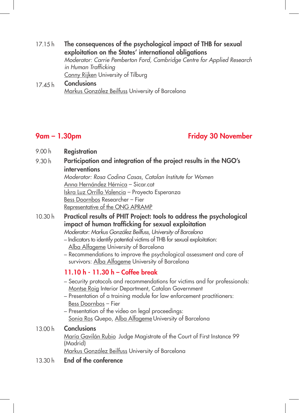- 17.15 h The consequences of the psychological impact of THB for sexual exploitation on the States' international obligations *Moderator: Carrie Pemberton Ford, Cambridge Centre for Applied Research in Human Trafficking* Conny Rijken University of Tilburg
- 17.45 h **Conclusions** Markus González Beilfuss University of Barcelona

## 9am – 1.30pm Friday 30 November

- 9.00 h **Registration**
- 9.30 h Participation and integration of the project results in the NGO's interventions

*Moderator: Rosa Codina Casas, Catalan Institute for Women* Anna Hernández Hérnica – Sicar.cat Iskra Luz Orrillo Valencia – Proyecto Esperanza Bess Doornbos Researcher – Fier Representative of the ONG APRAMP

10.30 h Practical results of PHIT Project: tools to address the psychological impact of human trafficking for sexual exploitation

*Moderator: Markus González Beilfuss, University of Barcelona* – Indicators to identify potential victims of THB for sexual exploitation:

Alba Alfageme University of Barcelona

– Recommendations to improve the psychological assessment and care of survivors: Alba Alfageme University of Barcelona

## 11.10 h - 11.30 h – Coffee break

- Security protocols and recommendations for victims and for professionals: Montse Roig Interior Department, Catalan Government
- Presentation of a training module for law enforcement practitioners: Bess Doornbos – Fier
- Presentation of the video on legal proceedings: Sonia Ros Quepo, Alba Alfageme University of Barcelona

#### 13.00 h **Conclusions**

María Gavilán Rubio Judge Magistrate of the Court of First Instance 99 (Madrid)

Markus González Beilfuss University of Barcelona

13.30 h End of the conference